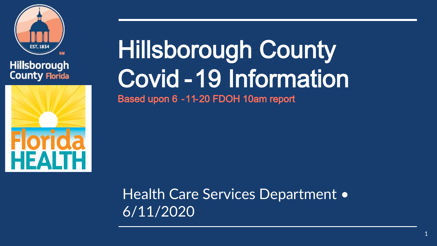

### Hillsborough **County Florida**



# Hillsborough County Covid -19 Information

Based upon 6 -11-20 FDOH 10am report

Health Care Services Department • 6/11/2020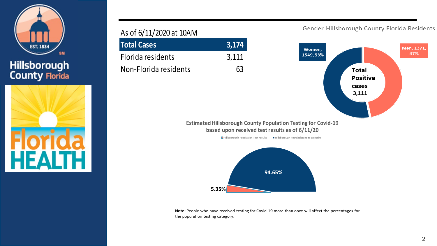

Hillsborough<br>County Florida



#### As of 6/11/2020 at 10AM

| <b>Total Cases</b>    | 3,174 |
|-----------------------|-------|
| Florida residents     | 3,111 |
| Non-Florida residents | 63    |

Gender Hillsborough County Florida Residents





Note: People who have received testing for Covid-19 more than once will affect the percentages for the population testing category.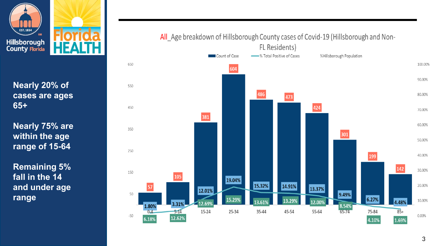

**Nearly 20% of cases are ages 65+** 

**Nearly 75% are within the age range of 15 -64**

**Remaining 5% fall in the 14 and under age range**



### All Age breakdown of Hillsborough County cases of Covid-19 (Hillsborough and Non-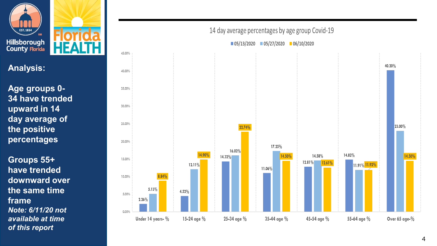

### **Analysis:**

**Age groups 0 - 34 have trended upward in 14 day average of the positive percentages**

**Groups 55+ have trended downward over the same time frame** *Note: 6/11/20 not available at time of this report*



#### 14 day average percentages by age group Covid-19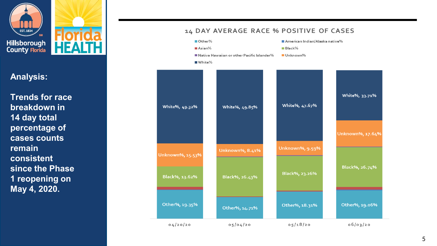

**Analysis:**

**Trends for race breakdown in 14 day total percentage of cases counts remain consistent since the Phase 1 reopening on May 4, 2020.**

#### $M_{\text{Asian}}$  $B$ lack%  $\blacksquare$  Native Hawaiian or other Pacific Islander $\%$ Unknown%  $W$ hite $%$ White%, 33.71% White%, 47.67% White%, 49.32% White%, 49.85% Unknown%, 17.64% Unknown%, 9.59% Unknown%, 8.41% Unknown%, 15.53% Black%, 26.74% Black%, 23.26% Black%, 13.62% Black%, 26.43% Other%, 19.35% Other%, 19.06% Other%, 18.31% Other%, 14.71%  $05/18/20$  $04/20/20$  $05/04/20$  $06/03/20$

#### 14 DAY AVERAGE RACE % POSITIVE OF CASES

Other%

American Indian/Alaska native%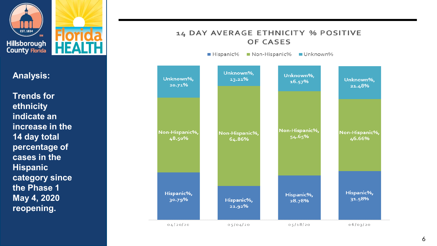

**Analysis:**

**Trends for ethnicity indicate an increase in the 14 day total percentage of cases in the Hispanic category since the Phase 1 May 4, 2020 reopening.**

#### 14 DAY AVERAGE ETHNICITY % POSITIVE **OF CASES**

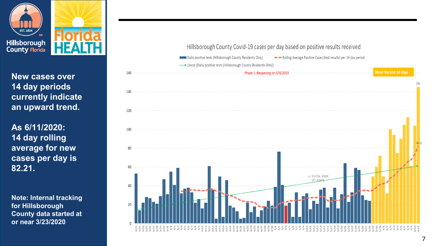

**New cases over 14 day periods currently indicate an upward trend.**

**As 6/11/2020: 14 day rolling average for new cases per day is 82.21.**

**Note: Internal tracking for Hillsborough County data started at or near 3/23/2020**

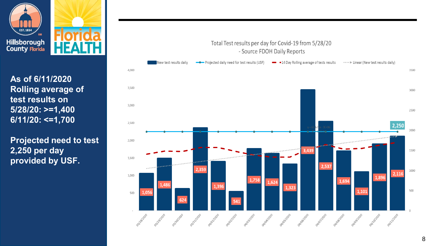

**As of 6/11/2020 Rolling average of test results on 5/28/20: >=1,400 6/11/20: <=1,700**

**Projected need to test 2,250 per day provided by USF.**

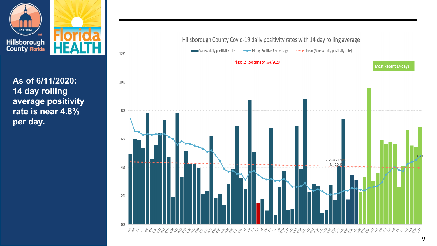

**As of 6/11/2020: 14 day rolling average positivity rate is near 4.8% per day.**

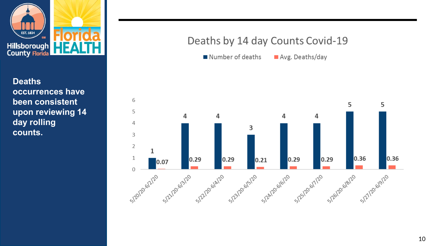

**Deaths occurrences have been consistent upon reviewing 14 day rolling counts.**

### Deaths by 14 day Counts Covid-19

Number of deaths Avg. Deaths/day

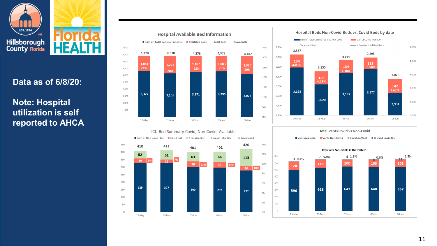

### **Data as of 6/8/20:**

### **Note: Hospital utilization is self reported to AHCA**



#### Hospital Beds Non-Covid Beds vs. Covid Beds by date



#### ICU Bed Summary Covid, Non-Covid, Available Sum of Non Covid-ICU Covid ICU Available ICU Sum of Total ICU % Covid used 450 420 14% 410 411 401 402 400  $52$ 12% 61 63 66 113 350 29 8%  $\overline{23}$  $-7%$ 10%  $38 \overline{11}\%$ 12% 300 10% 8% 250 200 6% 329 327 150 300 297 277 4% 100 2% 50  $0%$ 29-May 31-May 03-Jun 05-Jun 08-Jun

#### **Total Vents Covid vs Non-Covid**

■ Vent Available ■ Vents Non-Covid ■ Covid on Vent ■% Used Covid ICU



#### Typicially 740+ vents in the system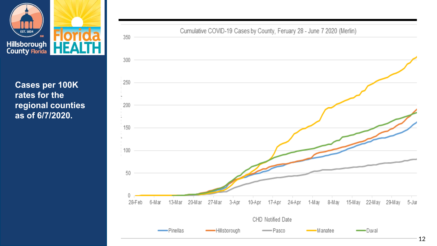

**Cases per 100K rates for the regional counties as of 6/7/2020.**